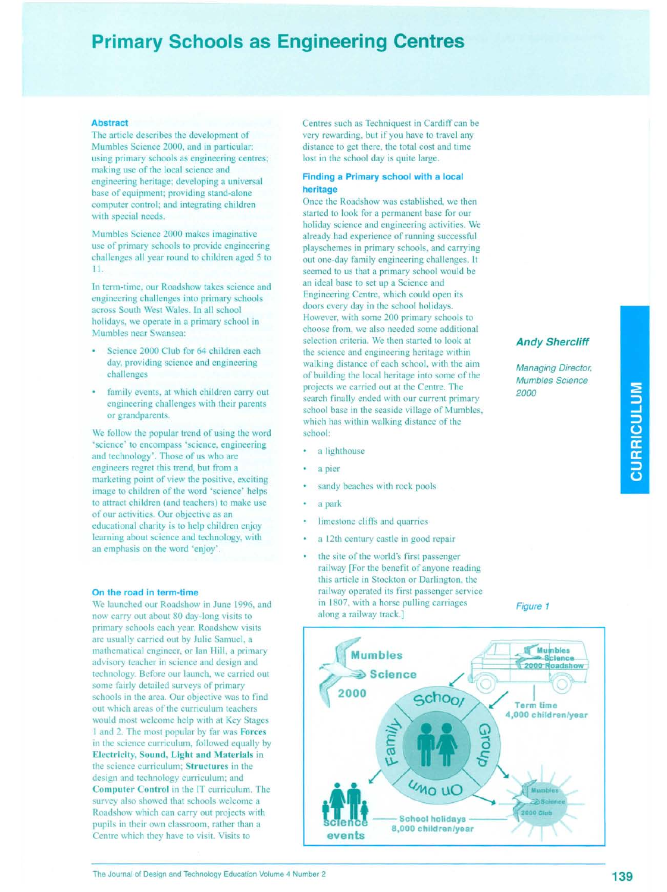## **Primary Schools as Engineering Centres**

### Abstract

The article describes the development of Mumbles Science 2000, and in particular: using primary schools as engineering centres; making use of the local science and engineering heritage; developing a universal base of equipment; providing stand-alone computer control; and integrating children with special needs.

Mumbles Science 2000 makes imaginative use of primary schools to provide engineering challenges all year round to children aged 5 to 11.

In term-time, our Roadshow takes science and engineering challenges into primary schools across South West Wales. In all school holidays, we operate in a primary school in Mumbles near Swansea:

- Science 2000 Club for 64 children each day, providing science and engineering challenges
- family events, at which children carry out engineering challenges with their parents or grandparents.

We follow the popular trend of using the word 'science' to encompass 'science, engineering and technology'. Those of us who are engineers regret this trend, but from a marketing point of view the positive, exciting image to children of the word 'science' helps to attract children (and teachers) to make use of our activities. Our objective as an educational charity is to help children enjoy learning about science and technology, with an emphasis on the word 'enjoy'.

### On the road in term-time

We launched our Roadshow in June 1996, and now carry out about 80 day-long visits to primary schools each year. Roadshow visits are usually carried out by Julie Samuel, a mathematical engineer, or Ian Hill, a primary advisory teacher in science and design and technology. Before our launch, we carried out some fairly detailed surveys of primary schools in the area. Our objective was to find out which areas of the curriculum teachers would most welcome help with at Key Stages I and 2. The most popular by far was Forces in the science curriculum, followed equally by Electricity, Sound, Light and Materials in the science curriculum; Structures in the design and technology curriculum; and Computer Control in the IT curriculum. The survey also showed that schools welcome a Roadshow which can carry out projects with pupils in their own classroom, rather than a Centre which they have to visit. Visits to

Centres such as Techniquest in Cardiff can be very rewarding, but if you have to travel any distance to get there, the total cost and time lost in the school day is quite large.

### Finding a Primary school with a local heritage

Once the Roadshow was established, we then started to look for a permanent base for our holiday science and engineering activities. We already had experience of running successful playschemes in primary schools, and carrying out one-day family engineering challenges. It seemed to us that a primary school would be an ideal base to set up a Science and Engineering Centre, which could open its doors every day in the school holidays. However, with some 200 primary schools to choose from, we also needed some additional selection criteria. We then started to look at the science and engineering heritage within walking distance of each school, with the aim of building the local heritage into some of the projects we carried out at the Centre. The search finally ended with our current primary school base in the seaside village of Mumbles, which has within walking distance of the school:

- a lighthouse
- a pier
- sandy beaches with rock pools
- a park
- limestone cliffs and quarries
- a 12th century castle in good repair
- the site of the world's first passenger railway [For the benefit of anyone reading this article in Stockton or Darlington, the railway operated its first passenger service in 1807, with a horse pulling carriages along a railway track.]

### Figure 1

*Managing Director, Mumb/es Science*

**Andy Shercliff** 

*2000*

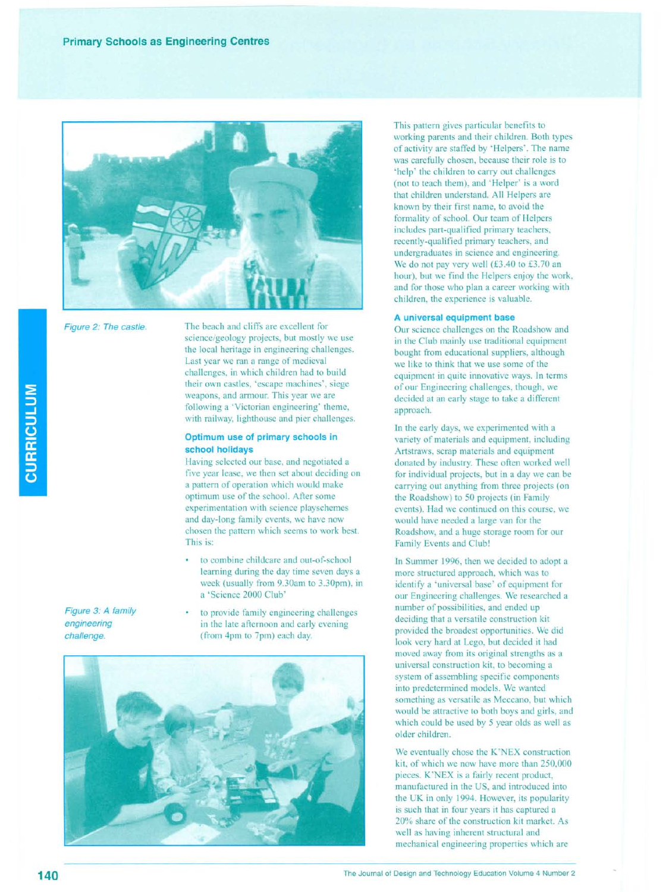

Figure 2: The castle.

The beach and cliffs are excellent for science/geology projects, but mostly we use the local heritage in engineering challenges. Last year we ran a range of medieval challenges, in which children had to build their own castles, 'escape machines', siege weapons, and armour. This year we are following a 'Victorian engineering' theme, with railway, lighthouse and pier challenges.

### **Optimum use of primary schools in school holidays**

Having selected our base, and negotiated a five year lease, we then set about deciding on a pattern of operation which would make optimum use of the school. After some experimentation with science playschemes and day-long family events, we have now chosen the pattern which seems to work best. This is:

- to combine childcare and out-of-school learning during the day time seven days a week (usually from 9.30am to 3.30pm), in a 'Science 2000 Club'
- to provide family engineering challenges in the late afternoon and early evening (from 4pm to 7pm) each day.



This pattern gives particular benefits to working parents and their children. Both types of activity are staffed by 'Helpers'. The name was carefully chosen, because their role is to 'help' the children to carry out challenges (not to teach them), and 'Helper' is a word that children understand. All Helpers are known by their first name, to avoid the formality of school. Our team of Helpers includes part-qualified primary teachers, recently-qualified primary teachers, and undergraduates in science and engineering. We do not pay very well (£3.40 to £3.70 an hour), but we find the Helpers enjoy the work, and for those who plan a career working with children, the experience is valuable.

### **A universal equipment base**

Our science challenges on the Roadshow and in the Club mainly use traditional equipment bought from educational suppliers, although we like to think that we use some of the equipment in quite innovative ways. **In** terms of our Engineering challenges, though, we decided at an early stage to take a different approach.

In the early days, we experimented with a variety of materials and equipment, including Artstraws, scrap materials and equipment donated by industry. These often worked well for individual projects, but in a day we can be carrying out anything from three projects (on the Roadshow) to 50 projects (in Family events). Had we continued on this course, we would have needed a large van for the Roadshow, and a huge storage room for our Family Events and Club!

**In** Summer 1996, then we decided to adopt a more structured approach, which was to identify a 'universal base' of equipment for our Engineering challenges. We researched a number of possibilities, and ended up deciding that a versatile construction kit provided the broadest opportunities. We did look very hard at Lego, but decided it had moved away from its original strengths as a universal construction kit, to becoming a system of assembling specific components into predetermined models. We wanted something as versatile as Meccano, but which would be attractive to both boys and girls, and which could be used by 5 year olds as well as older children.

We eventually chose the K'NEX construction kit, of which we now have more than 250,000 pieces. K'NEX is a fairly recent product, manufactured in the US, and introduced into the UK in only 1994. However, its popularity is such that in four years it has captured a 20% share of the construction kit market. As well as having inherent structural and mechanical engineering properties which are

*Figure* 3: *A family engineering challenge.*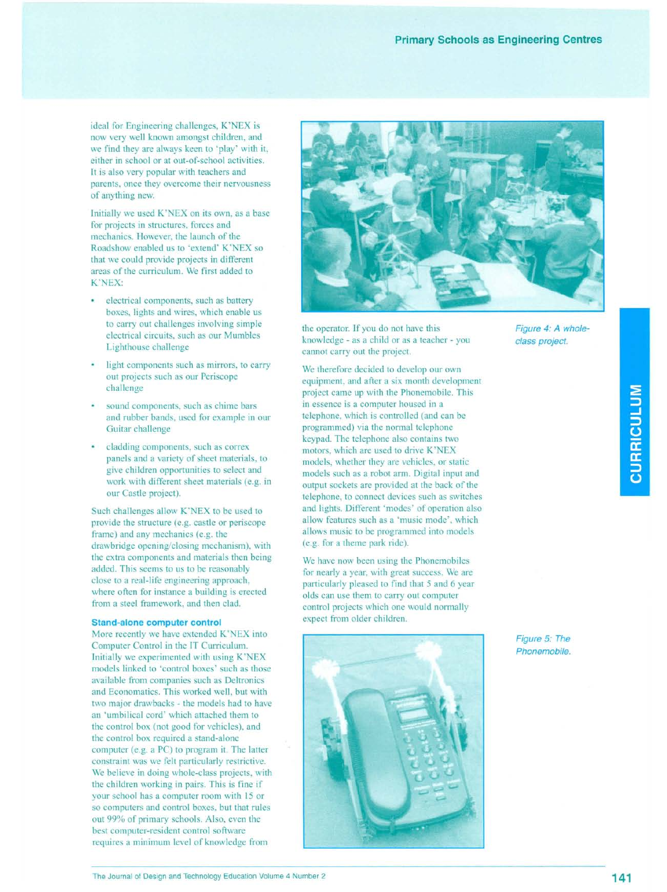ideal for Engineering challenges, K'NEX is now very well known amongst children, and we find they are always keen to 'play' with it, either in school or at out-of-school activities. It is also very popular with teachers and parents, once they overcome their nervousness of anything new.

Initially we used K'NEX on its own, as a base for projects in structures, forces and mechanics. However, the launch of the Roadshow enabled us to 'extend' K'NEX so that we could provide projects in different areas of the curriculum. We first added to K'NEX:

- $\ddot{\phantom{0}}$ electrical components, such as battery boxes, lights and wires, which enable us to carry out challenges involving simple electrical circuits, such as our Mumbles Lighthouse challenge
- ¥ light components such as mirrors, to carry out projects such as our Periscope challenge
- $\mathbf{a}$ sound components, such as chime bars and rubber bands, used for example in our Guitar challenge
- cladding components, such as correx panels and a variety of sheet materials, to give children opportunities to select and work with different sheet materials (e.g. in our Castle project).

Such challenges allow K'NEX to be used to provide the structure (e.g. castle or periscope frame) and any mechanics (e.g. the drawbridge opening/closing mechanism), with the extra components and materials then being added. This seems to us to be reasonably close to a real-life engineering approach, where often for instance a building is erected from a steel framework, and then clad.

### **Stand-alone computer control**

More recently we have extended K'NEX into Computer Control in the IT Curriculum. Initially we experimented with using K'NEX models linked to 'control boxes' such as those available from companies such as Deltronics and Economatics. This worked well, but with two major drawbacks - the models had to have an 'umbilical cord' which attached them to the control box (not good for vehicles), and the control box required a stand-alone computer (e.g. a PC) to program it. The latter constraint was we felt particularly restrictive. We believe in doing whole-class projects, with the children working in pairs. This is fine if your school has a computer room with 15 or so computers and control boxes, but that rules out 99% of primary schools. Also, even the best computer-resident control software requires a minimum level of knowledge from



the operator. If you do not have this knowledge - as a child or as a teacher - you cannot carry out the project.

We therefore decided to develop our own equipment, and after a six month development project came up with the Phonemobile. This in essence is a computer housed in a telephone, which is controlled (and can be programmed) via the normal telephone keypad. The telephone also contains two motors, which are used to drive K'NEX models, whether they are vehicles, or static models such as a robot arm. Digital input and output sockets are provided at the back of the telephone, to connect devices such as switches and lights. Different 'modes' of operation also allow features such as a 'music mode', which allows music to be programmed into models (e.g. for a theme park ride).

We have now been using the Phonemobiles for nearly a year, with great success. We are particularly pleased to find that 5 and 6 year olds can use them to carry out computer control projects which one would normally expect from older children.



*Figure* 4: *A wholeclass project.*

*Figure* 5: *The Phonemobile.*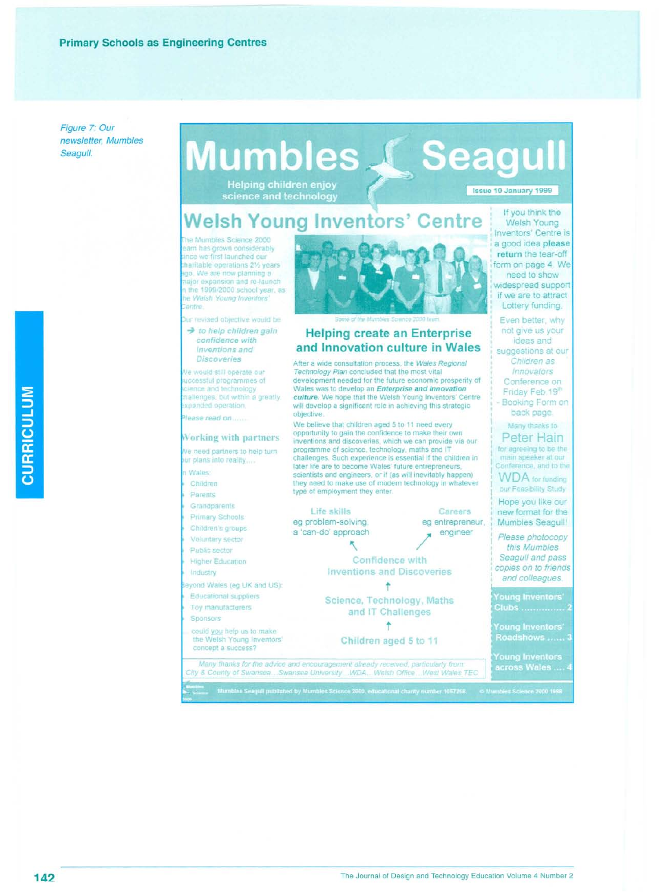Figure 7: Our newsletter, Mumbles Seagull.

# **Mumbles L Seagull**

**Helping children enjoy** science and technology

### Issue 10 January 1999

## **Welsh Young Inventors' Centre**

he Mumbles Science 2000 eam has grown considerably nce we first launched our charitable operations 21% years ago. We are now planning a aior expansion and re-launch n the 1999/2000 school year, as he Weish Young Inventors entre

but revised objective would be

to help children gain confidence with Inventions and **Discoveries** 

Ne would still operate our uccessful programmes of cience and technology mallenges, but within a greatly solanded operation

please read on......

#### Working with partners

- Ne need partners to help turn our plans into reality...
- n Wales
- Children
- Parents Grandparents
- Primary Schools
- Children's groups
- Voluntary sector
- Public sector
- Higher Education Industry
- 
- eyond Wales (eg LIK and US): Educational suppliers
- Toy manufacturers
- Sponsors
- could you help us to make the Welsh Young Inventors' concept a success?



### **Helping create an Enterprise** and Innovation culture in Wales

After a wide consultation process, the Wales Regional Technology Plan concluded that the most vital development needed for the future economic prosperity of Wales was to develop an Enterprise and Innovation culture. We hope that the Welsh Young Inventors' Centre will develop a significant role in achieving this strategic. objective:

We believe that children aged 5 to 11 need every opportunity to gain the confidence to make their own inventions and discoveries, which we can provide via our programme of science, technology, maths and IT challenges. Such experience is essential if the children in later life are to become Wales' future entrepreneurs. scientists and engineers, or if (as will inevitably happen) they need to make use of modern technology in whatever type of employment they enter.

Life skills eg problem-solving. a 'can-do' approach

Careers eg entrepreneur, engineer

Confidence with **Inventions and Discoveries** 

Science, Technology, Maths and IT Challenges

Children aged 5 to 11

Many thanks for the advice and encouragement already received, particularly from:<br>City & County of Swansea ... Swansea University ... WDA, ... Welsh Office... West Wales TEC Mimbles Seagulf published by Mumbles Science 2000, educational char



Even better, why not give us your

ideas and suggestions at our Children as Innovators Conference on

Friday Feb. 19th Booking Form on

back page. Many thanks to

Peter Hain for agreeing to be the main speaker at our Conference, and to the

**WDA** for funding our Feasibility Study

Hope you like our new format for the Mumbles Seagull!

Please photocopy this Mumbles Seagull and pass copies on to friends and colleagues.

ung Inventors' Clubs ................. 2

oung Inventors'

Roadshows ......

oung Inventors<br>ecross Wales

CURRICULUM